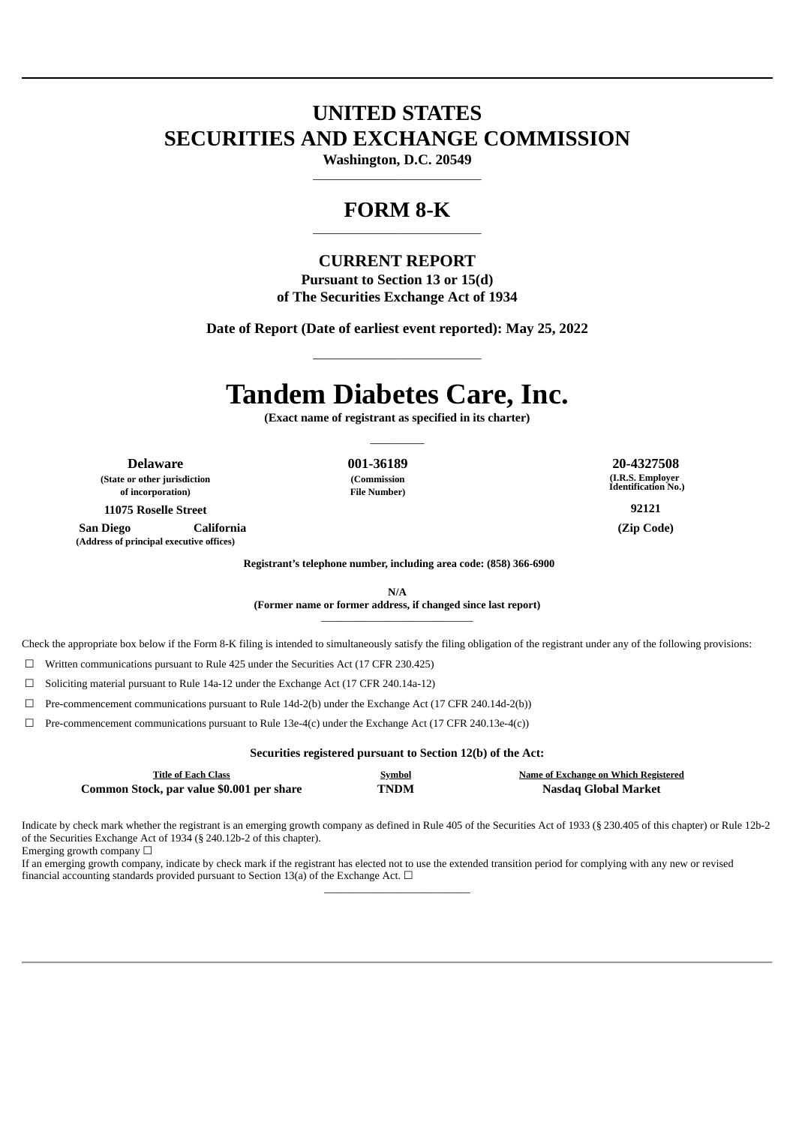# **UNITED STATES SECURITIES AND EXCHANGE COMMISSION**

**Washington, D.C. 20549**  $\_$ 

# **FORM 8-K**  $\_$

## **CURRENT REPORT**

**Pursuant to Section 13 or 15(d) of The Securities Exchange Act of 1934**

**Date of Report (Date of earliest event reported): May 25, 2022**

\_\_\_\_\_\_\_\_\_\_\_\_\_\_\_\_\_\_\_\_\_\_\_\_\_\_\_\_

# **Tandem Diabetes Care, Inc.**

**(Exact name of registrant as specified in its charter)**  $\overline{\phantom{a}}$   $\overline{\phantom{a}}$ 

**Delaware 001-36189 20-4327508 (State or other jurisdiction of incorporation)**

**(Commission File Number)** **(I.R.S. Employer Identification No.)**

**11075 Roselle Street 92121**

**San Diego California (Zip Code) (Address of principal executive offices)**

**Registrant's telephone number, including area code: (858) 366-6900**

**N/A (Former name or former address, if changed since last report)** \_\_\_\_\_\_\_\_\_\_\_\_\_\_\_\_\_\_\_\_\_\_\_\_\_\_\_\_

Check the appropriate box below if the Form 8-K filing is intended to simultaneously satisfy the filing obligation of the registrant under any of the following provisions:

☐ Written communications pursuant to Rule 425 under the Securities Act (17 CFR 230.425)

☐ Soliciting material pursuant to Rule 14a-12 under the Exchange Act (17 CFR 240.14a-12)

 $\Box$  Pre-commencement communications pursuant to Rule 14d-2(b) under the Exchange Act (17 CFR 240.14d-2(b))

 $\Box$  Pre-commencement communications pursuant to Rule 13e-4(c) under the Exchange Act (17 CFR 240.13e-4(c))

**Securities registered pursuant to Section 12(b) of the Act: Title of Each Class Symbol Name of Exchange on Which Registered Common Stock, par value \$0.001 per share TNDM Nasdaq Global Market**

Indicate by check mark whether the registrant is an emerging growth company as defined in Rule 405 of the Securities Act of 1933 (§ 230.405 of this chapter) or Rule 12b-2 of the Securities Exchange Act of 1934 (§ 240.12b-2 of this chapter).

\_\_\_\_\_\_\_\_\_\_\_\_\_\_\_\_\_\_\_\_\_\_\_\_\_\_\_

Emerging growth company  $\Box$ 

If an emerging growth company, indicate by check mark if the registrant has elected not to use the extended transition period for complying with any new or revised financial accounting standards provided pursuant to Section 13(a) of the Exchange Act.  $\Box$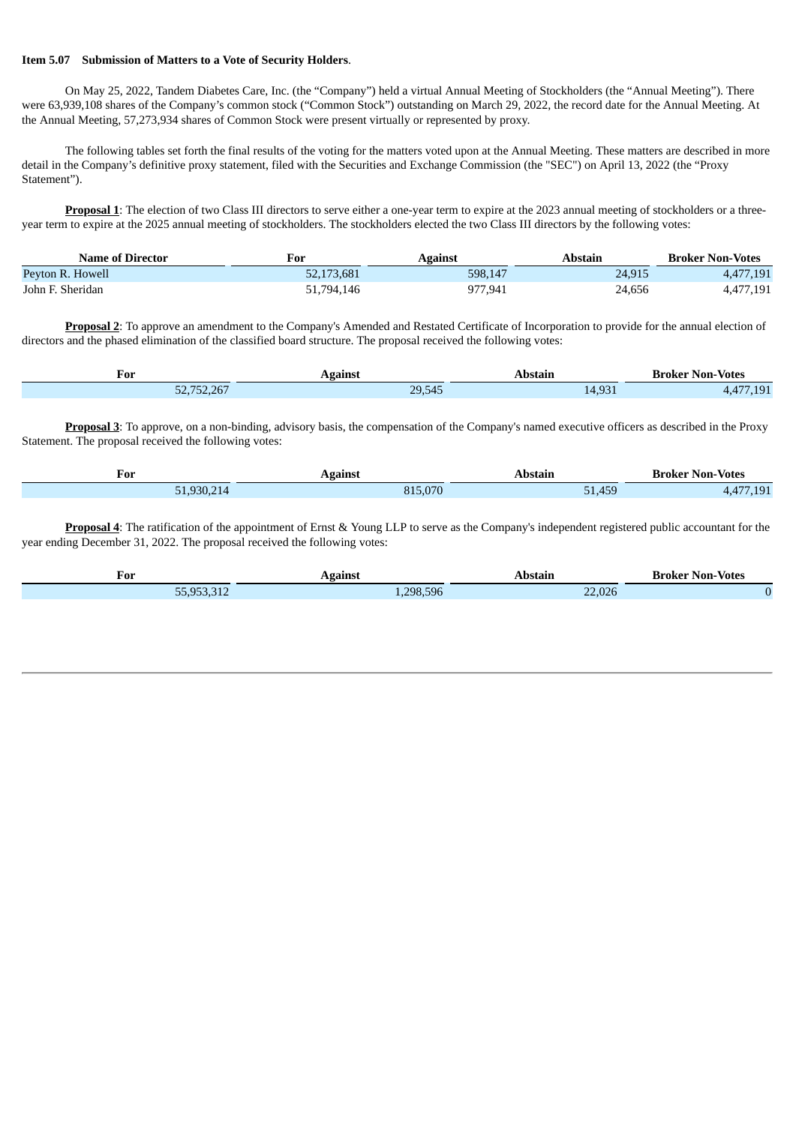#### **Item 5.07 Submission of Matters to a Vote of Security Holders**.

On May 25, 2022, Tandem Diabetes Care, Inc. (the "Company") held a virtual Annual Meeting of Stockholders (the "Annual Meeting"). There were 63,939,108 shares of the Company's common stock ("Common Stock") outstanding on March 29, 2022, the record date for the Annual Meeting. At the Annual Meeting, 57,273,934 shares of Common Stock were present virtually or represented by proxy.

The following tables set forth the final results of the voting for the matters voted upon at the Annual Meeting. These matters are described in more detail in the Company's definitive proxy statement, filed with the Securities and Exchange Commission (the "SEC") on April 13, 2022 (the "Proxy Statement").

**Proposal 1**: The election of two Class III directors to serve either a one-year term to expire at the 2023 annual meeting of stockholders or a threeyear term to expire at the 2025 annual meeting of stockholders. The stockholders elected the two Class III directors by the following votes:

| <b>Name of Director</b> | For        | Against | Abstain | <b>Broker Non-Votes</b> |
|-------------------------|------------|---------|---------|-------------------------|
| Peyton R. Howell        | 52,173,681 | 598,147 | 24,915  | 4,477,191               |
| John F. Sheridan        | 51,794,146 | 977,941 | 24,656  | 4,477,191               |

**Proposal 2**: To approve an amendment to the Company's Amended and Restated Certificate of Incorporation to provide for the annual election of directors and the phased elimination of the classified board structure. The proposal received the following votes:

| For               | Vgainsi                 | п<br>. | -Votes<br>∴Non-⊹<br>Broker<br>- - - - |
|-------------------|-------------------------|--------|---------------------------------------|
| 1.767<br>، ب<br>◡ | 20.545<br><u>_J,545</u> | $\sim$ | $\overline{A}$ $\overline{A}$         |

**Proposal 3**: To approve, on a non-binding, advisory basis, the compensation of the Company's named executive officers as described in the Proxy Statement. The proposal received the following votes:

| For                      | Against         | Abstain              | ' Non-Votes<br>Broker |
|--------------------------|-----------------|----------------------|-----------------------|
| .930.21<br>$\frac{1}{4}$ | $\Omega$<br>0 T | $-4$<br>150<br>ت⊂,⊥ت | $\sim$                |

**Proposal 4**: The ratification of the appointment of Ernst & Young LLP to serve as the Company's independent registered public accountant for the year ending December 31, 2022. The proposal received the following votes:

| For               | $\sim$ nnst $\sim$ | stan.                          | Non-<br><b>Votes</b><br>Brokei |
|-------------------|--------------------|--------------------------------|--------------------------------|
| <b>FF OFD DAN</b> | 298,596            | 000<br>$\sim$ $\sim$<br>22.02t |                                |